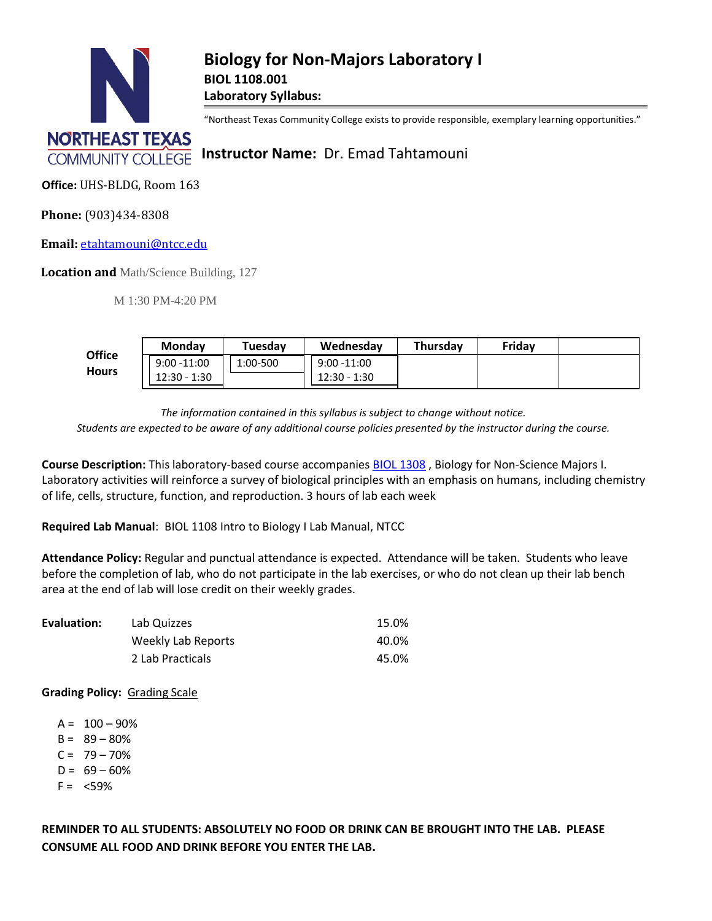

"Northeast Texas Community College exists to provide responsible, exemplary learning opportunities."

**COMMUNITY COLLEGE Instructor Name: Dr. Emad Tahtamouni** 

**Office:** UHS-BLDG, Room 163

**Phone:** (903)434-8308

**Email:** [etahtamouni@ntcc.edu](mailto:etahtamouni@ntcc.edu)

**Location and** Math/Science Building, 127

M 1:30 PM-4:20 PM

|               | <b>Monday</b>     | Tuesday  | Wednesday                 | Thursday | Friday |  |
|---------------|-------------------|----------|---------------------------|----------|--------|--|
| <b>Office</b> | $9:00 - 11:00$    | 1:00-500 | $9:00 - 11:00$            |          |        |  |
| <b>Hours</b>  | $12:30 -$<br>1:30 |          | $\cdot$ 1:30<br>$12:30 -$ |          |        |  |

*The information contained in this syllabus is subject to change without notice.*

*Students are expected to be aware of any additional course policies presented by the instructor during the course.*

**Course Description:** This laboratory-based course accompanie[s BIOL 1308](http://catalog.ntcc.edu/content.php?catoid=6&catoid=6&navoid=894&filter%5Bitem_type%5D=3&filter%5Bonly_active%5D=1&filter%5B3%5D=1&filter%5Bcpage%5D=2#tt1842) , Biology for Non-Science Majors I. Laboratory activities will reinforce a survey of biological principles with an emphasis on humans, including chemistry of life, cells, structure, function, and reproduction. 3 hours of lab each week

**Required Lab Manual**: BIOL 1108 Intro to Biology I Lab Manual, NTCC

**Attendance Policy:** Regular and punctual attendance is expected. Attendance will be taken. Students who leave before the completion of lab, who do not participate in the lab exercises, or who do not clean up their lab bench area at the end of lab will lose credit on their weekly grades.

| Evaluation: | Lab Quizzes        | 15.0% |
|-------------|--------------------|-------|
|             | Weekly Lab Reports | 40.0% |
|             | 2 Lab Practicals   | 45.0% |

**Grading Policy:** Grading Scale

- $A = 100 90%$
- $B = 89 80%$
- $C = 79 70%$
- $D = 69 60%$
- $F = <59\%$

**REMINDER TO ALL STUDENTS: ABSOLUTELY NO FOOD OR DRINK CAN BE BROUGHT INTO THE LAB. PLEASE CONSUME ALL FOOD AND DRINK BEFORE YOU ENTER THE LAB.**